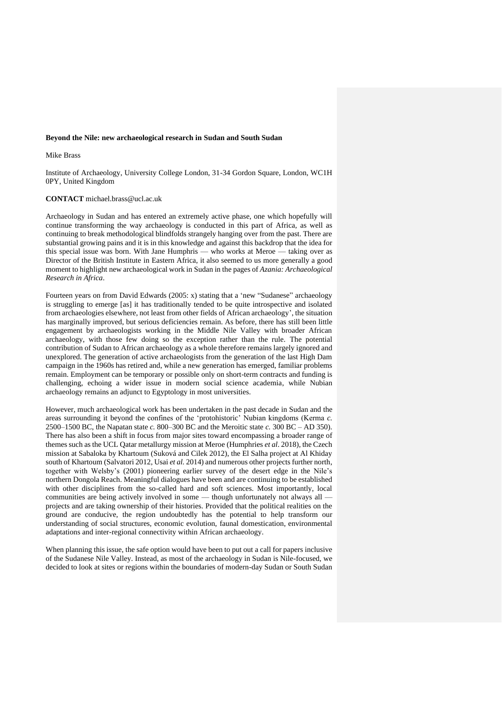## **Beyond the Nile: new archaeological research in Sudan and South Sudan**

Mike Brass

Institute of Archaeology, University College London, 31-34 Gordon Square, London, WC1H 0PY, United Kingdom

## **CONTACT** michael.brass@ucl.ac.uk

Archaeology in Sudan and has entered an extremely active phase, one which hopefully will continue transforming the way archaeology is conducted in this part of Africa, as well as continuing to break methodological blindfolds strangely hanging over from the past. There are substantial growing pains and it is in this knowledge and against this backdrop that the idea for this special issue was born. With Jane Humphris — who works at Meroe — taking over as Director of the British Institute in Eastern Africa, it also seemed to us more generally a good moment to highlight new archaeological work in Sudan in the pages of *Azania: Archaeological Research in Africa*.

Fourteen years on from David Edwards (2005: x) stating that a 'new "Sudanese" archaeology is struggling to emerge [as] it has traditionally tended to be quite introspective and isolated from archaeologies elsewhere, not least from other fields of African archaeology', the situation has marginally improved, but serious deficiencies remain. As before, there has still been little engagement by archaeologists working in the Middle Nile Valley with broader African archaeology, with those few doing so the exception rather than the rule. The potential contribution of Sudan to African archaeology as a whole therefore remains largely ignored and unexplored. The generation of active archaeologists from the generation of the last High Dam campaign in the 1960s has retired and, while a new generation has emerged, familiar problems remain. Employment can be temporary or possible only on short-term contracts and funding is challenging, echoing a wider issue in modern social science academia, while Nubian archaeology remains an adjunct to Egyptology in most universities.

However, much archaeological work has been undertaken in the past decade in Sudan and the areas surrounding it beyond the confines of the 'protohistoric' Nubian kingdoms (Kerma *c.* 2500–1500 BC, the Napatan state *c.* 800–300 BC and the Meroitic state *c.* 300 BC – AD 350). There has also been a shift in focus from major sites toward encompassing a broader range of themes such as the UCL Qatar metallurgy mission at Meroe (Humphries *et al*. 2018), the Czech mission at Sabaloka by Khartoum (Suková and Cilek 2012), the El Salha project at Al Khiday south of Khartoum (Salvatori 2012, Usai *et al.* 2014) and numerous other projects further north, together with Welsby's (2001) pioneering earlier survey of the desert edge in the Nile's northern Dongola Reach. Meaningful dialogues have been and are continuing to be established with other disciplines from the so-called hard and soft sciences. Most importantly, local communities are being actively involved in some — though unfortunately not always all projects and are taking ownership of their histories. Provided that the political realities on the ground are conducive, the region undoubtedly has the potential to help transform our understanding of social structures, economic evolution, faunal domestication, environmental adaptations and inter-regional connectivity within African archaeology.

When planning this issue, the safe option would have been to put out a call for papers inclusive of the Sudanese Nile Valley. Instead, as most of the archaeology in Sudan is Nile-focused, we decided to look at sites or regions within the boundaries of modern-day Sudan or South Sudan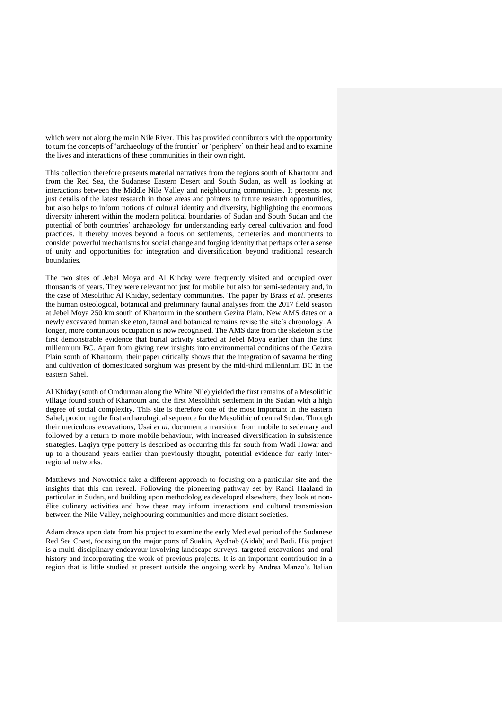which were not along the main Nile River. This has provided contributors with the opportunity to turn the concepts of 'archaeology of the frontier' or 'periphery' on their head and to examine the lives and interactions of these communities in their own right.

This collection therefore presents material narratives from the regions south of Khartoum and from the Red Sea, the Sudanese Eastern Desert and South Sudan, as well as looking at interactions between the Middle Nile Valley and neighbouring communities. It presents not just details of the latest research in those areas and pointers to future research opportunities, but also helps to inform notions of cultural identity and diversity, highlighting the enormous diversity inherent within the modern political boundaries of Sudan and South Sudan and the potential of both countries' archaeology for understanding early cereal cultivation and food practices. It thereby moves beyond a focus on settlements, cemeteries and monuments to consider powerful mechanisms for social change and forging identity that perhaps offer a sense of unity and opportunities for integration and diversification beyond traditional research boundaries.

The two sites of Jebel Moya and Al Kihday were frequently visited and occupied over thousands of years. They were relevant not just for mobile but also for semi-sedentary and, in the case of Mesolithic Al Khiday, sedentary communities. The paper by Brass *et al*. presents the human osteological, botanical and preliminary faunal analyses from the 2017 field season at Jebel Moya 250 km south of Khartoum in the southern Gezira Plain. New AMS dates on a newly excavated human skeleton, faunal and botanical remains revise the site's chronology. A longer, more continuous occupation is now recognised. The AMS date from the skeleton is the first demonstrable evidence that burial activity started at Jebel Moya earlier than the first millennium BC. Apart from giving new insights into environmental conditions of the Gezira Plain south of Khartoum, their paper critically shows that the integration of savanna herding and cultivation of domesticated sorghum was present by the mid-third millennium BC in the eastern Sahel.

Al Khiday (south of Omdurman along the White Nile) yielded the first remains of a Mesolithic village found south of Khartoum and the first Mesolithic settlement in the Sudan with a high degree of social complexity. This site is therefore one of the most important in the eastern Sahel, producing the first archaeological sequence for the Mesolithic of central Sudan. Through their meticulous excavations, Usai *et al*. document a transition from mobile to sedentary and followed by a return to more mobile behaviour, with increased diversification in subsistence strategies. Laqiya type pottery is described as occurring this far south from Wadi Howar and up to a thousand years earlier than previously thought, potential evidence for early interregional networks.

Matthews and Nowotnick take a different approach to focusing on a particular site and the insights that this can reveal. Following the pioneering pathway set by Randi Haaland in particular in Sudan, and building upon methodologies developed elsewhere, they look at nonélite culinary activities and how these may inform interactions and cultural transmission between the Nile Valley, neighbouring communities and more distant societies.

Adam draws upon data from his project to examine the early Medieval period of the Sudanese Red Sea Coast, focusing on the major ports of Suakin, Aydhab (Aidab) and Badi. His project is a multi-disciplinary endeavour involving landscape surveys, targeted excavations and oral history and incorporating the work of previous projects. It is an important contribution in a region that is little studied at present outside the ongoing work by Andrea Manzo's Italian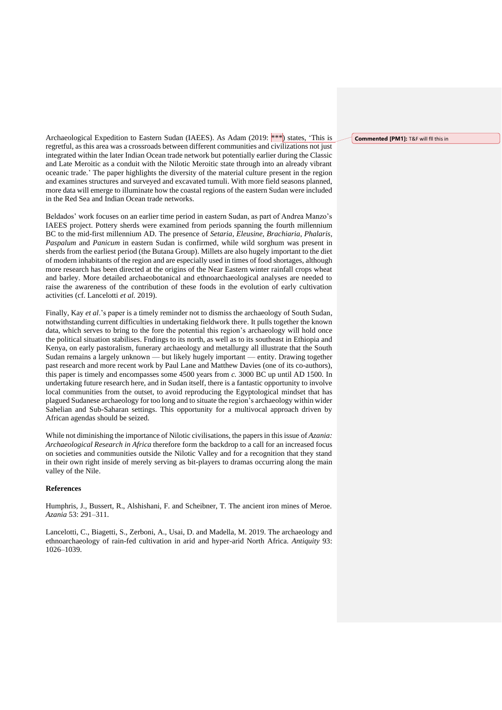Archaeological Expedition to Eastern Sudan (IAEES). As Adam (2019: \*\*\*) states, 'This is regretful, as this area was a crossroads between different communities and civilizations not just integrated within the later Indian Ocean trade network but potentially earlier during the Classic and Late Meroitic as a conduit with the Nilotic Meroitic state through into an already vibrant oceanic trade.' The paper highlights the diversity of the material culture present in the region and examines structures and surveyed and excavated tumuli. With more field seasons planned, more data will emerge to illuminate how the coastal regions of the eastern Sudan were included in the Red Sea and Indian Ocean trade networks.

Beldados' work focuses on an earlier time period in eastern Sudan, as part of Andrea Manzo's IAEES project. Pottery sherds were examined from periods spanning the fourth millennium BC to the mid-first millennium AD. The presence of *Setaria*, *Eleusine*, *Brachiaria*, *Phalaris*, *Paspalum* and *Panicum* in eastern Sudan is confirmed, while wild sorghum was present in sherds from the earliest period (the Butana Group). Millets are also hugely important to the diet of modern inhabitants of the region and are especially used in times of food shortages, although more research has been directed at the origins of the Near Eastern winter rainfall crops wheat and barley. More detailed archaeobotanical and ethnoarchaeological analyses are needed to raise the awareness of the contribution of these foods in the evolution of early cultivation activities (cf. Lancelotti *et al.* 2019).

Finally, Kay *et al*.'s paper is a timely reminder not to dismiss the archaeology of South Sudan, notwithstanding current difficulties in undertaking fieldwork there. It pulls together the known data, which serves to bring to the fore the potential this region's archaeology will hold once the political situation stabilises. Fndings to its north, as well as to its southeast in Ethiopia and Kenya, on early pastoralism, funerary archaeology and metallurgy all illustrate that the South Sudan remains a largely unknown — but likely hugely important — entity. Drawing together past research and more recent work by Paul Lane and Matthew Davies (one of its co-authors), this paper is timely and encompasses some 4500 years from *c.* 3000 BC up until AD 1500. In undertaking future research here, and in Sudan itself, there is a fantastic opportunity to involve local communities from the outset, to avoid reproducing the Egyptological mindset that has plagued Sudanese archaeology for too long and to situate the region's archaeology within wider Sahelian and Sub-Saharan settings. This opportunity for a multivocal approach driven by African agendas should be seized.

While not diminishing the importance of Nilotic civilisations, the papers in this issue of *Azania: Archaeological Research in Africa* therefore form the backdrop to a call for an increased focus on societies and communities outside the Nilotic Valley and for a recognition that they stand in their own right inside of merely serving as bit-players to dramas occurring along the main valley of the Nile.

## **References**

Humphris, J., Bussert, R., Alshishani, F. and Scheibner, T. The ancient iron mines of Meroe. *Azania* 53: 291–311.

Lancelotti, C., Biagetti, S., Zerboni, A., Usai, D. and Madella, M. 2019. The archaeology and ethnoarchaeology of rain-fed cultivation in arid and hyper-arid North Africa. *Antiquity* 93: 1026–1039.

**Commented [PM1]:** T&F will fll this in